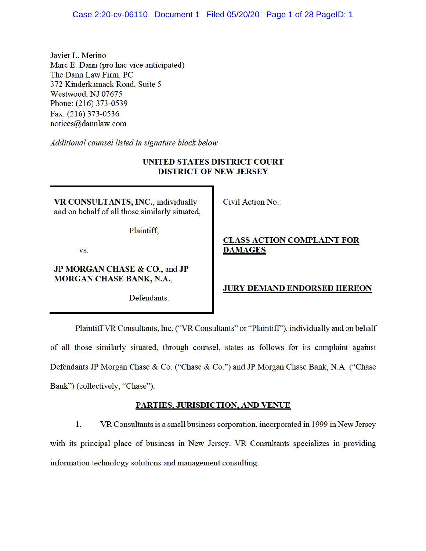Javier L. Merino Marc E. Dann (pro hac vice anticipated) The Dann Law Firm, PC 372 Kinderkamack Road, Suite 5 Westwood, NJ 07675 Phone: (216) 373-0539 Fax: (216) 373-0536 notices@dannlaw.com

Additional counsel listed in signature block below

## **UNITED STATES DISTRICT COURT DISTRICT OF NEW JERSEY**

VR CONSULTANTS, INC., individually and on behalf of all those similarly situated,

Plaintiff.

VS.

## JP MORGAN CHASE & CO., and JP **MORGAN CHASE BANK, N.A.,**

Defendants.

Civil Action No.:

## **CLASS ACTION COMPLAINT FOR DAMAGES**

### **JURY DEMAND ENDORSED HEREON**

Plaintiff VR Consultants, Inc. ("VR Consultants" or "Plaintiff"), individually and on behalf of all those similarly situated, through counsel, states as follows for its complaint against Defendants JP Morgan Chase & Co. ("Chase & Co.") and JP Morgan Chase Bank, N.A. ("Chase Bank") (collectively, "Chase"):

### **PARTIES, JURISDICTION, AND VENUE**

 $1.$ VR Consultants is a small business corporation, incorporated in 1999 in New Jersey with its principal place of business in New Jersey. VR Consultants specializes in providing information technology solutions and management consulting.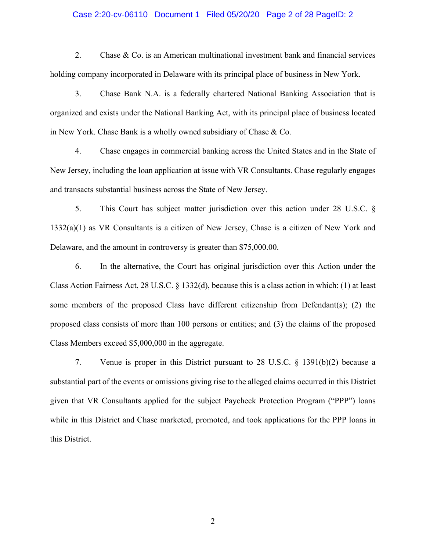## Case 2:20-cv-06110 Document 1 Filed 05/20/20 Page 2 of 28 PageID: 2

2. Chase & Co. is an American multinational investment bank and financial services holding company incorporated in Delaware with its principal place of business in New York.

3. Chase Bank N.A. is a federally chartered National Banking Association that is organized and exists under the National Banking Act, with its principal place of business located in New York. Chase Bank is a wholly owned subsidiary of Chase & Co.

4. Chase engages in commercial banking across the United States and in the State of New Jersey, including the loan application at issue with VR Consultants. Chase regularly engages and transacts substantial business across the State of New Jersey.

5. This Court has subject matter jurisdiction over this action under 28 U.S.C. § 1332(a)(1) as VR Consultants is a citizen of New Jersey, Chase is a citizen of New York and Delaware, and the amount in controversy is greater than \$75,000.00.

6. In the alternative, the Court has original jurisdiction over this Action under the Class Action Fairness Act, 28 U.S.C. § 1332(d), because this is a class action in which: (1) at least some members of the proposed Class have different citizenship from Defendant(s); (2) the proposed class consists of more than 100 persons or entities; and (3) the claims of the proposed Class Members exceed \$5,000,000 in the aggregate.

7. Venue is proper in this District pursuant to 28 U.S.C. § 1391(b)(2) because a substantial part of the events or omissions giving rise to the alleged claims occurred in this District given that VR Consultants applied for the subject Paycheck Protection Program ("PPP") loans while in this District and Chase marketed, promoted, and took applications for the PPP loans in this District.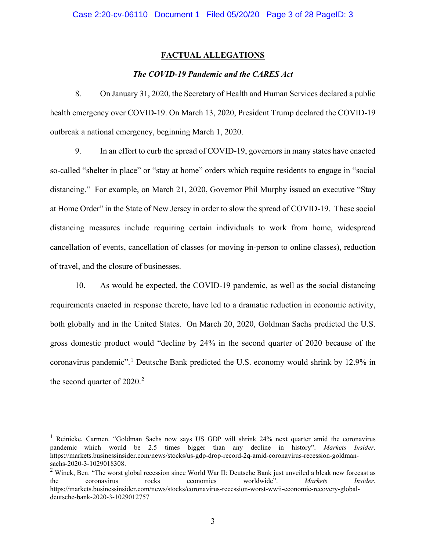### **FACTUAL ALLEGATIONS**

#### *The COVID-19 Pandemic and the CARES Act*

8. On January 31, 2020, the Secretary of Health and Human Services declared a public health emergency over COVID-19. On March 13, 2020, President Trump declared the COVID-19 outbreak a national emergency, beginning March 1, 2020.

9. In an effort to curb the spread of COVID-19, governors in many states have enacted so-called "shelter in place" or "stay at home" orders which require residents to engage in "social distancing." For example, on March 21, 2020, Governor Phil Murphy issued an executive "Stay at Home Order" in the State of New Jersey in order to slow the spread of COVID-19. These social distancing measures include requiring certain individuals to work from home, widespread cancellation of events, cancellation of classes (or moving in-person to online classes), reduction of travel, and the closure of businesses.

10. As would be expected, the COVID-19 pandemic, as well as the social distancing requirements enacted in response thereto, have led to a dramatic reduction in economic activity, both globally and in the United States. On March 20, 2020, Goldman Sachs predicted the U.S. gross domestic product would "decline by 24% in the second quarter of 2020 because of the coronavirus pandemic".<sup>1</sup> Deutsche Bank predicted the U.S. economy would shrink by 12.9% in the second quarter of  $2020$ .<sup>2</sup>

<sup>&</sup>lt;sup>1</sup> Reinicke, Carmen. "Goldman Sachs now says US GDP will shrink 24% next quarter amid the coronavirus pandemic—which would be 2.5 times bigger than any decline in history". *Markets Insider*. https://markets.businessinsider.com/news/stocks/us-gdp-drop-record-2q-amid-coronavirus-recession-goldmansachs-2020-3-1029018308.

<sup>&</sup>lt;sup>2</sup> Winck, Ben. "The worst global recession since World War II: Deutsche Bank just unveiled a bleak new forecast as the coronavirus rocks economies worldwide". *Markets Insider*. https://markets.businessinsider.com/news/stocks/coronavirus-recession-worst-wwii-economic-recovery-globaldeutsche-bank-2020-3-1029012757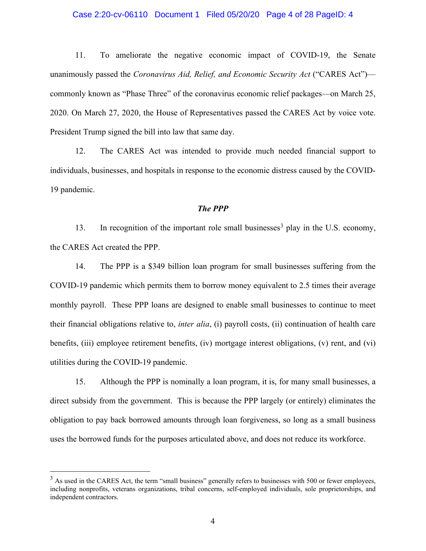#### Case 2:20-cv-06110 Document 1 Filed 05/20/20 Page 4 of 28 PageID: 4

11. To ameliorate the negative economic impact of COVID-19, the Senate unanimously passed the *Coronavirus Aid, Relief, and Economic Security Act* ("CARES Act") commonly known as "Phase Three" of the coronavirus economic relief packages—on March 25, 2020. On March 27, 2020, the House of Representatives passed the CARES Act by voice vote. President Trump signed the bill into law that same day.

12. The CARES Act was intended to provide much needed financial support to individuals, businesses, and hospitals in response to the economic distress caused by the COVID-19 pandemic.

### *The PPP*

13. In recognition of the important role small businesses<sup>3</sup> play in the U.S. economy, the CARES Act created the PPP.

14. The PPP is a \$349 billion loan program for small businesses suffering from the COVID-19 pandemic which permits them to borrow money equivalent to 2.5 times their average monthly payroll. These PPP loans are designed to enable small businesses to continue to meet their financial obligations relative to, *inter alia*, (i) payroll costs, (ii) continuation of health care benefits, (iii) employee retirement benefits, (iv) mortgage interest obligations, (v) rent, and (vi) utilities during the COVID-19 pandemic.

15. Although the PPP is nominally a loan program, it is, for many small businesses, a direct subsidy from the government. This is because the PPP largely (or entirely) eliminates the obligation to pay back borrowed amounts through loan forgiveness, so long as a small business uses the borrowed funds for the purposes articulated above, and does not reduce its workforce.

 $3$  As used in the CARES Act, the term "small business" generally refers to businesses with 500 or fewer employees, including nonprofits, veterans organizations, tribal concerns, self-employed individuals, sole proprietorships, and independent contractors.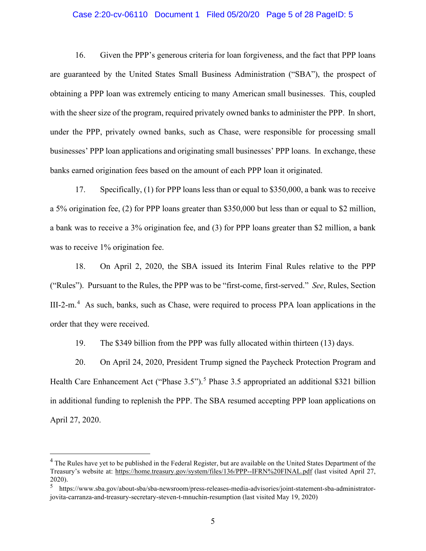#### Case 2:20-cv-06110 Document 1 Filed 05/20/20 Page 5 of 28 PageID: 5

16. Given the PPP's generous criteria for loan forgiveness, and the fact that PPP loans are guaranteed by the United States Small Business Administration ("SBA"), the prospect of obtaining a PPP loan was extremely enticing to many American small businesses. This, coupled with the sheer size of the program, required privately owned banks to administer the PPP. In short, under the PPP, privately owned banks, such as Chase, were responsible for processing small businesses' PPP loan applications and originating small businesses' PPP loans. In exchange, these banks earned origination fees based on the amount of each PPP loan it originated.

17. Specifically, (1) for PPP loans less than or equal to \$350,000, a bank was to receive a 5% origination fee, (2) for PPP loans greater than \$350,000 but less than or equal to \$2 million, a bank was to receive a 3% origination fee, and (3) for PPP loans greater than \$2 million, a bank was to receive 1% origination fee.

18. On April 2, 2020, the SBA issued its Interim Final Rules relative to the PPP ("Rules"). Pursuant to the Rules, the PPP was to be "first-come, first-served." *See*, Rules, Section III-2-m.<sup>4</sup> As such, banks, such as Chase, were required to process PPA loan applications in the order that they were received.

19. The \$349 billion from the PPP was fully allocated within thirteen (13) days.

20. On April 24, 2020, President Trump signed the Paycheck Protection Program and Health Care Enhancement Act ("Phase  $3.5$ ").<sup>5</sup> Phase  $3.5$  appropriated an additional \$321 billion in additional funding to replenish the PPP. The SBA resumed accepting PPP loan applications on April 27, 2020.

<sup>&</sup>lt;sup>4</sup> The Rules have yet to be published in the Federal Register, but are available on the United States Department of the Treasury's website at: https://home.treasury.gov/system/files/136/PPP--IFRN%20FINAL.pdf (last visited April 27, 2020).

<sup>5</sup> https://www.sba.gov/about-sba/sba-newsroom/press-releases-media-advisories/joint-statement-sba-administratorjovita-carranza-and-treasury-secretary-steven-t-mnuchin-resumption (last visited May 19, 2020)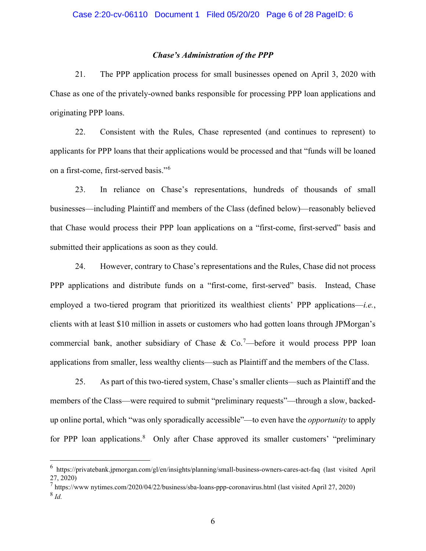#### *Chase's Administration of the PPP*

21. The PPP application process for small businesses opened on April 3, 2020 with Chase as one of the privately-owned banks responsible for processing PPP loan applications and originating PPP loans.

22. Consistent with the Rules, Chase represented (and continues to represent) to applicants for PPP loans that their applications would be processed and that "funds will be loaned on a first-come, first-served basis."<sup>6</sup>

23. In reliance on Chase's representations, hundreds of thousands of small businesses—including Plaintiff and members of the Class (defined below)—reasonably believed that Chase would process their PPP loan applications on a "first-come, first-served" basis and submitted their applications as soon as they could.

24. However, contrary to Chase's representations and the Rules, Chase did not process PPP applications and distribute funds on a "first-come, first-served" basis. Instead, Chase employed a two-tiered program that prioritized its wealthiest clients' PPP applications—*i.e.*, clients with at least \$10 million in assets or customers who had gotten loans through JPMorgan's commercial bank, another subsidiary of Chase & Co.<sup>7</sup>—before it would process PPP loan applications from smaller, less wealthy clients—such as Plaintiff and the members of the Class.

25. As part of this two-tiered system, Chase's smaller clients—such as Plaintiff and the members of the Class—were required to submit "preliminary requests"—through a slow, backedup online portal, which "was only sporadically accessible"—to even have the *opportunity* to apply for PPP loan applications.<sup>8</sup> Only after Chase approved its smaller customers' "preliminary

<sup>6</sup> https://privatebank.jpmorgan.com/gl/en/insights/planning/small-business-owners-cares-act-faq (last visited April 27, 2020)

 $^7$  https://www nytimes.com/2020/04/22/business/sba-loans-ppp-coronavirus.html (last visited April 27, 2020)

<sup>8</sup> *Id.*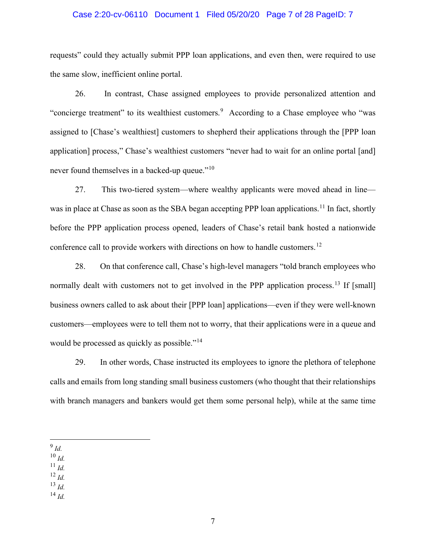#### Case 2:20-cv-06110 Document 1 Filed 05/20/20 Page 7 of 28 PageID: 7

requests" could they actually submit PPP loan applications, and even then, were required to use the same slow, inefficient online portal.

26. In contrast, Chase assigned employees to provide personalized attention and "concierge treatment" to its wealthiest customers.<sup>9</sup> According to a Chase employee who "was assigned to [Chase's wealthiest] customers to shepherd their applications through the [PPP loan application] process," Chase's wealthiest customers "never had to wait for an online portal [and] never found themselves in a backed-up queue."<sup>10</sup>

27. This two-tiered system—where wealthy applicants were moved ahead in line was in place at Chase as soon as the SBA began accepting PPP loan applications.<sup>11</sup> In fact, shortly before the PPP application process opened, leaders of Chase's retail bank hosted a nationwide conference call to provide workers with directions on how to handle customers.<sup>12</sup>

28. On that conference call, Chase's high-level managers "told branch employees who normally dealt with customers not to get involved in the PPP application process.<sup>13</sup> If [small] business owners called to ask about their [PPP loan] applications—even if they were well-known customers—employees were to tell them not to worry, that their applications were in a queue and would be processed as quickly as possible."<sup>14</sup>

29. In other words, Chase instructed its employees to ignore the plethora of telephone calls and emails from long standing small business customers (who thought that their relationships with branch managers and bankers would get them some personal help), while at the same time

- $10 \frac{Id}{L}$
- $^{11}$  *Id.*
- <sup>12</sup> *Id.*
- <sup>13</sup> *Id.*
- <sup>14</sup> *Id.*

<sup>9</sup> *Id.*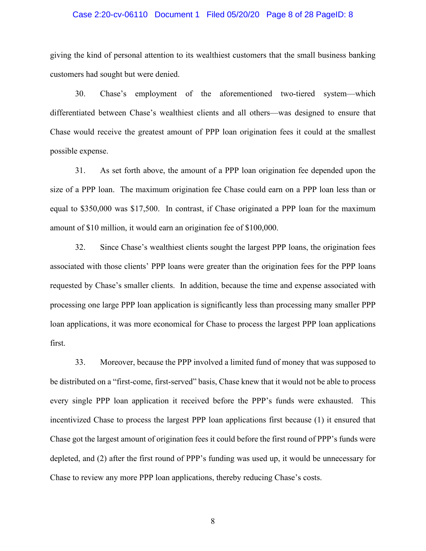#### Case 2:20-cv-06110 Document 1 Filed 05/20/20 Page 8 of 28 PageID: 8

giving the kind of personal attention to its wealthiest customers that the small business banking customers had sought but were denied.

30. Chase's employment of the aforementioned two-tiered system—which differentiated between Chase's wealthiest clients and all others—was designed to ensure that Chase would receive the greatest amount of PPP loan origination fees it could at the smallest possible expense.

31. As set forth above, the amount of a PPP loan origination fee depended upon the size of a PPP loan. The maximum origination fee Chase could earn on a PPP loan less than or equal to \$350,000 was \$17,500. In contrast, if Chase originated a PPP loan for the maximum amount of \$10 million, it would earn an origination fee of \$100,000.

32. Since Chase's wealthiest clients sought the largest PPP loans, the origination fees associated with those clients' PPP loans were greater than the origination fees for the PPP loans requested by Chase's smaller clients. In addition, because the time and expense associated with processing one large PPP loan application is significantly less than processing many smaller PPP loan applications, it was more economical for Chase to process the largest PPP loan applications first.

33. Moreover, because the PPP involved a limited fund of money that was supposed to be distributed on a "first-come, first-served" basis, Chase knew that it would not be able to process every single PPP loan application it received before the PPP's funds were exhausted. This incentivized Chase to process the largest PPP loan applications first because (1) it ensured that Chase got the largest amount of origination fees it could before the first round of PPP's funds were depleted, and (2) after the first round of PPP's funding was used up, it would be unnecessary for Chase to review any more PPP loan applications, thereby reducing Chase's costs.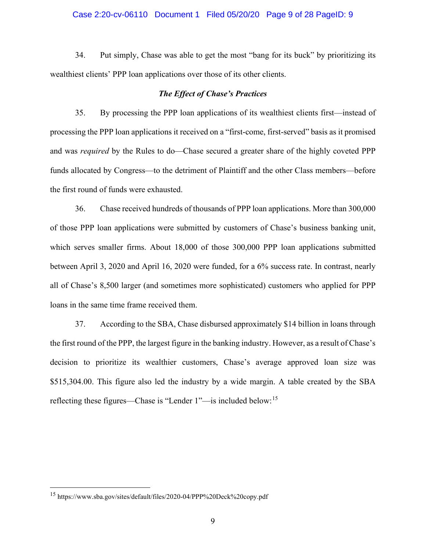#### Case 2:20-cv-06110 Document 1 Filed 05/20/20 Page 9 of 28 PageID: 9

34. Put simply, Chase was able to get the most "bang for its buck" by prioritizing its wealthiest clients' PPP loan applications over those of its other clients.

#### *The Effect of Chase's Practices*

35. By processing the PPP loan applications of its wealthiest clients first—instead of processing the PPP loan applications it received on a "first-come, first-served" basis as it promised and was *required* by the Rules to do—Chase secured a greater share of the highly coveted PPP funds allocated by Congress—to the detriment of Plaintiff and the other Class members––before the first round of funds were exhausted.

36. Chase received hundreds of thousands of PPP loan applications. More than 300,000 of those PPP loan applications were submitted by customers of Chase's business banking unit, which serves smaller firms. About 18,000 of those 300,000 PPP loan applications submitted between April 3, 2020 and April 16, 2020 were funded, for a 6% success rate. In contrast, nearly all of Chase's 8,500 larger (and sometimes more sophisticated) customers who applied for PPP loans in the same time frame received them.

37. According to the SBA, Chase disbursed approximately \$14 billion in loans through the first round of the PPP, the largest figure in the banking industry. However, as a result of Chase's decision to prioritize its wealthier customers, Chase's average approved loan size was \$515,304.00. This figure also led the industry by a wide margin. A table created by the SBA reflecting these figures—Chase is "Lender 1"—is included below:<sup>15</sup>

<sup>15</sup> https://www.sba.gov/sites/default/files/2020-04/PPP%20Deck%20copy.pdf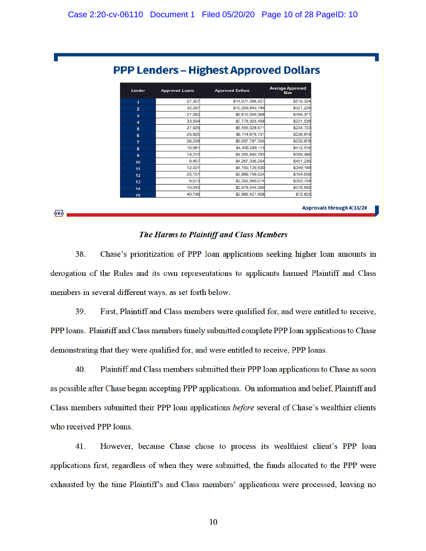| Lender           | <b>Approved Loans</b> | <b>Approved Dollars</b> | <b>Average Approved</b><br><b>Size</b> |
|------------------|-----------------------|-------------------------|----------------------------------------|
| 1                | 27,307                | \$14,071,396,427        | \$515,304                              |
| $\overline{2}$   | 32,097                | \$10,309,843,746        | \$321,209                              |
| 3                | 21.062                | \$9,612,090,368         | \$456,371                              |
| $\boldsymbol{A}$ | 33,594                | \$7,778,303,458         | \$231,538                              |
| ${\bf 5}$        | 27,929                | \$6,555,028,971         | \$234,703                              |
| 6                | 25,820                | \$6,114,676,731         | \$236,819                              |
| $\overline{7}$   | 26,238                | \$6,057,787,355         | \$230,878                              |
| 8                | 10.681                | \$4,406,088,115         | \$412,516                              |
| $\bf{9}$         | 14,215                | \$4,356,840,783         | \$306.496                              |
| 10               | 9.457                 | \$4,267,336,254         | \$451,236                              |
| 11               | 12,001                | \$4,190,129,500         | \$349,148                              |
| 12               | 25.151                | \$3,889,799,524         | \$154,658                              |
| 13               | 9,673                 | \$3,392,990,074         | \$350,769                              |
| 14               | 10,642                | \$2,978,045,260         | \$279,839                              |
| 15               | 40.746                | \$2,966,427,908         | \$72,803                               |

### The Harms to Plaintiff and Class Members

**ŞBA** 

38. Chase's prioritization of PPP loan applications seeking higher loan amounts in derogation of the Rules and its own representations to applicants harmed Plaintiff and Class members in several different ways, as set forth below.

39. First, Plaintiff and Class members were qualified for, and were entitled to receive, PPP loans. Plaintiff and Class members timely submitted complete PPP loan applications to Chase demonstrating that they were qualified for, and were entitled to receive. PPP loans.

40. Plaintiff and Class members submitted their PPP loan applications to Chase as soon as possible after Chase began accepting PPP applications. On information and belief, Plaintiff and Class members submitted their PPP loan applications before several of Chase's wealthier clients who received PPP loans.

41. However, because Chase chose to process its wealthiest client's PPP loan applications first, regardless of when they were submitted, the funds allocated to the PPP were exhausted by the time Plaintiff's and Class members' applications were processed, leaving no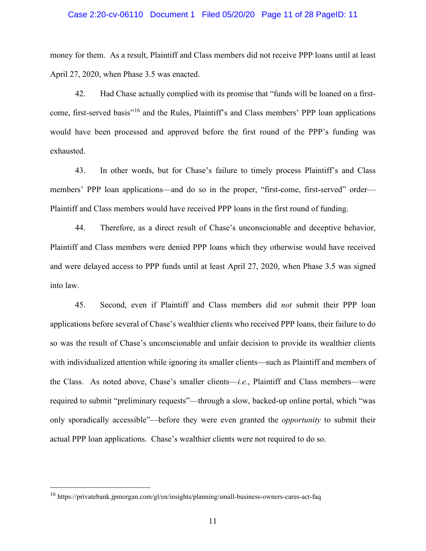#### Case 2:20-cv-06110 Document 1 Filed 05/20/20 Page 11 of 28 PageID: 11

money for them. As a result, Plaintiff and Class members did not receive PPP loans until at least April 27, 2020, when Phase 3.5 was enacted.

42. Had Chase actually complied with its promise that "funds will be loaned on a firstcome, first-served basis"<sup>16</sup> and the Rules, Plaintiff's and Class members' PPP loan applications would have been processed and approved before the first round of the PPP's funding was exhausted.

43. In other words, but for Chase's failure to timely process Plaintiff's and Class members' PPP loan applications—and do so in the proper, "first-come, first-served" order— Plaintiff and Class members would have received PPP loans in the first round of funding.

44. Therefore, as a direct result of Chase's unconscionable and deceptive behavior, Plaintiff and Class members were denied PPP loans which they otherwise would have received and were delayed access to PPP funds until at least April 27, 2020, when Phase 3.5 was signed into law.

45. Second, even if Plaintiff and Class members did *not* submit their PPP loan applications before several of Chase's wealthier clients who received PPP loans, their failure to do so was the result of Chase's unconscionable and unfair decision to provide its wealthier clients with individualized attention while ignoring its smaller clients—such as Plaintiff and members of the Class. As noted above, Chase's smaller clients—*i.e.*, Plaintiff and Class members—were required to submit "preliminary requests"—through a slow, backed-up online portal, which "was only sporadically accessible"—before they were even granted the *opportunity* to submit their actual PPP loan applications. Chase's wealthier clients were not required to do so.

<sup>16</sup> https://privatebank.jpmorgan.com/gl/en/insights/planning/small-business-owners-cares-act-faq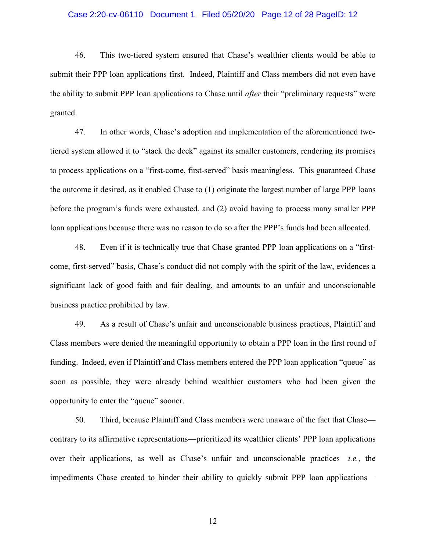#### Case 2:20-cv-06110 Document 1 Filed 05/20/20 Page 12 of 28 PageID: 12

46. This two-tiered system ensured that Chase's wealthier clients would be able to submit their PPP loan applications first. Indeed, Plaintiff and Class members did not even have the ability to submit PPP loan applications to Chase until *after* their "preliminary requests" were granted.

47. In other words, Chase's adoption and implementation of the aforementioned twotiered system allowed it to "stack the deck" against its smaller customers, rendering its promises to process applications on a "first-come, first-served" basis meaningless. This guaranteed Chase the outcome it desired, as it enabled Chase to (1) originate the largest number of large PPP loans before the program's funds were exhausted, and (2) avoid having to process many smaller PPP loan applications because there was no reason to do so after the PPP's funds had been allocated.

48. Even if it is technically true that Chase granted PPP loan applications on a "firstcome, first-served" basis, Chase's conduct did not comply with the spirit of the law, evidences a significant lack of good faith and fair dealing, and amounts to an unfair and unconscionable business practice prohibited by law.

49. As a result of Chase's unfair and unconscionable business practices, Plaintiff and Class members were denied the meaningful opportunity to obtain a PPP loan in the first round of funding. Indeed, even if Plaintiff and Class members entered the PPP loan application "queue" as soon as possible, they were already behind wealthier customers who had been given the opportunity to enter the "queue" sooner.

50. Third, because Plaintiff and Class members were unaware of the fact that Chase contrary to its affirmative representations—prioritized its wealthier clients' PPP loan applications over their applications, as well as Chase's unfair and unconscionable practices—*i.e.*, the impediments Chase created to hinder their ability to quickly submit PPP loan applications—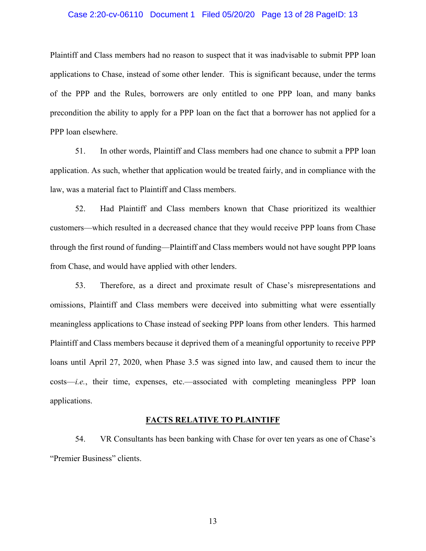#### Case 2:20-cv-06110 Document 1 Filed 05/20/20 Page 13 of 28 PageID: 13

Plaintiff and Class members had no reason to suspect that it was inadvisable to submit PPP loan applications to Chase, instead of some other lender. This is significant because, under the terms of the PPP and the Rules, borrowers are only entitled to one PPP loan, and many banks precondition the ability to apply for a PPP loan on the fact that a borrower has not applied for a PPP loan elsewhere.

51. In other words, Plaintiff and Class members had one chance to submit a PPP loan application. As such, whether that application would be treated fairly, and in compliance with the law, was a material fact to Plaintiff and Class members.

52. Had Plaintiff and Class members known that Chase prioritized its wealthier customers—which resulted in a decreased chance that they would receive PPP loans from Chase through the first round of funding—Plaintiff and Class members would not have sought PPP loans from Chase, and would have applied with other lenders.

53. Therefore, as a direct and proximate result of Chase's misrepresentations and omissions, Plaintiff and Class members were deceived into submitting what were essentially meaningless applications to Chase instead of seeking PPP loans from other lenders. This harmed Plaintiff and Class members because it deprived them of a meaningful opportunity to receive PPP loans until April 27, 2020, when Phase 3.5 was signed into law, and caused them to incur the costs—*i.e.*, their time, expenses, etc.—associated with completing meaningless PPP loan applications.

#### **FACTS RELATIVE TO PLAINTIFF**

54. VR Consultants has been banking with Chase for over ten years as one of Chase's "Premier Business" clients.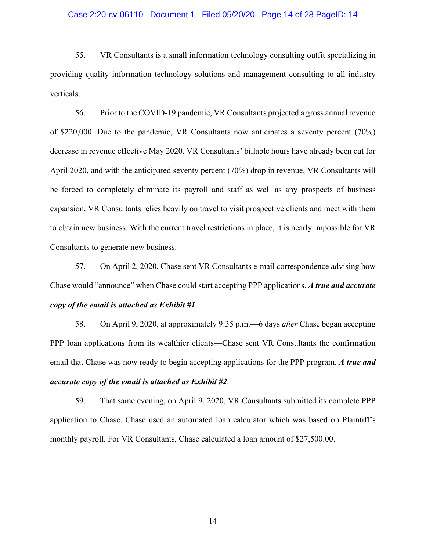#### Case 2:20-cv-06110 Document 1 Filed 05/20/20 Page 14 of 28 PageID: 14

55. VR Consultants is a small information technology consulting outfit specializing in providing quality information technology solutions and management consulting to all industry verticals.

56. Prior to the COVID-19 pandemic, VR Consultants projected a gross annual revenue of \$220,000. Due to the pandemic, VR Consultants now anticipates a seventy percent (70%) decrease in revenue effective May 2020. VR Consultants' billable hours have already been cut for April 2020, and with the anticipated seventy percent (70%) drop in revenue, VR Consultants will be forced to completely eliminate its payroll and staff as well as any prospects of business expansion. VR Consultants relies heavily on travel to visit prospective clients and meet with them to obtain new business. With the current travel restrictions in place, it is nearly impossible for VR Consultants to generate new business.

57. On April 2, 2020, Chase sent VR Consultants e-mail correspondence advising how Chase would "announce" when Chase could start accepting PPP applications. *A true and accurate copy of the email is attached as Exhibit #1*.

58. On April 9, 2020, at approximately 9:35 p.m.—6 days *after* Chase began accepting PPP loan applications from its wealthier clients—Chase sent VR Consultants the confirmation email that Chase was now ready to begin accepting applications for the PPP program. *A true and accurate copy of the email is attached as Exhibit #2*.

59. That same evening, on April 9, 2020, VR Consultants submitted its complete PPP application to Chase. Chase used an automated loan calculator which was based on Plaintiff's monthly payroll. For VR Consultants, Chase calculated a loan amount of \$27,500.00.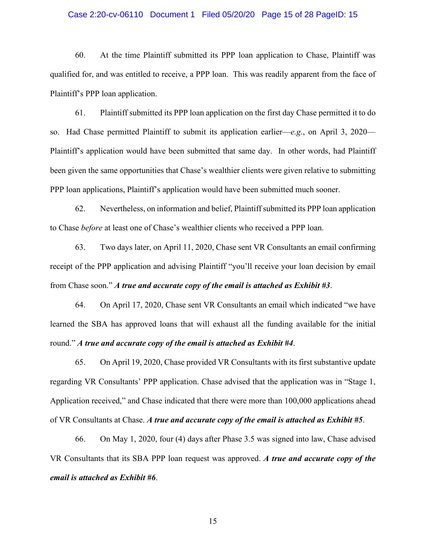#### Case 2:20-cv-06110 Document 1 Filed 05/20/20 Page 15 of 28 PageID: 15

60. At the time Plaintiff submitted its PPP loan application to Chase, Plaintiff was qualified for, and was entitled to receive, a PPP loan. This was readily apparent from the face of Plaintiff's PPP loan application.

61. Plaintiff submitted its PPP loan application on the first day Chase permitted it to do so. Had Chase permitted Plaintiff to submit its application earlier—*e.g.*, on April 3, 2020— Plaintiff's application would have been submitted that same day. In other words, had Plaintiff been given the same opportunities that Chase's wealthier clients were given relative to submitting PPP loan applications, Plaintiff's application would have been submitted much sooner.

62. Nevertheless, on information and belief, Plaintiff submitted its PPP loan application to Chase *before* at least one of Chase's wealthier clients who received a PPP loan.

63. Two days later, on April 11, 2020, Chase sent VR Consultants an email confirming receipt of the PPP application and advising Plaintiff "you'll receive your loan decision by email from Chase soon." *A true and accurate copy of the email is attached as Exhibit #3*.

64. On April 17, 2020, Chase sent VR Consultants an email which indicated "we have learned the SBA has approved loans that will exhaust all the funding available for the initial round." *A true and accurate copy of the email is attached as Exhibit #4*.

65. On April 19, 2020, Chase provided VR Consultants with its first substantive update regarding VR Consultants' PPP application. Chase advised that the application was in "Stage 1, Application received," and Chase indicated that there were more than 100,000 applications ahead of VR Consultants at Chase. *A true and accurate copy of the email is attached as Exhibit #5*.

66. On May 1, 2020, four (4) days after Phase 3.5 was signed into law, Chase advised VR Consultants that its SBA PPP loan request was approved. *A true and accurate copy of the email is attached as Exhibit #6*.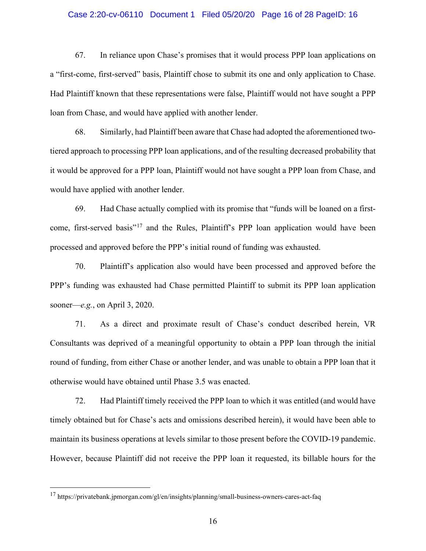#### Case 2:20-cv-06110 Document 1 Filed 05/20/20 Page 16 of 28 PageID: 16

67. In reliance upon Chase's promises that it would process PPP loan applications on a "first-come, first-served" basis, Plaintiff chose to submit its one and only application to Chase. Had Plaintiff known that these representations were false, Plaintiff would not have sought a PPP loan from Chase, and would have applied with another lender.

68. Similarly, had Plaintiff been aware that Chase had adopted the aforementioned twotiered approach to processing PPP loan applications, and of the resulting decreased probability that it would be approved for a PPP loan, Plaintiff would not have sought a PPP loan from Chase, and would have applied with another lender.

69. Had Chase actually complied with its promise that "funds will be loaned on a firstcome, first-served basis"<sup>17</sup> and the Rules, Plaintiff's PPP loan application would have been processed and approved before the PPP's initial round of funding was exhausted.

70. Plaintiff's application also would have been processed and approved before the PPP's funding was exhausted had Chase permitted Plaintiff to submit its PPP loan application sooner—*e.g.*, on April 3, 2020.

71. As a direct and proximate result of Chase's conduct described herein, VR Consultants was deprived of a meaningful opportunity to obtain a PPP loan through the initial round of funding, from either Chase or another lender, and was unable to obtain a PPP loan that it otherwise would have obtained until Phase 3.5 was enacted.

72. Had Plaintiff timely received the PPP loan to which it was entitled (and would have timely obtained but for Chase's acts and omissions described herein), it would have been able to maintain its business operations at levels similar to those present before the COVID-19 pandemic. However, because Plaintiff did not receive the PPP loan it requested, its billable hours for the

<sup>17</sup> https://privatebank.jpmorgan.com/gl/en/insights/planning/small-business-owners-cares-act-faq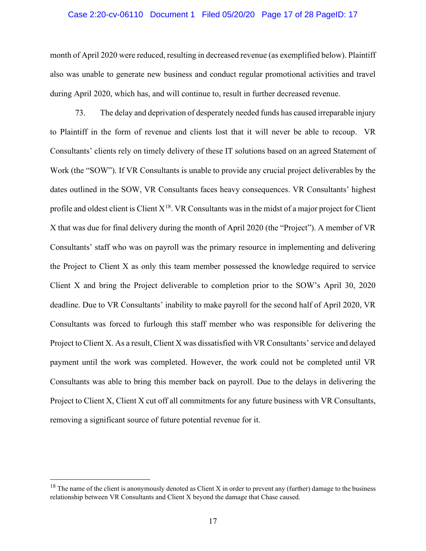#### Case 2:20-cv-06110 Document 1 Filed 05/20/20 Page 17 of 28 PageID: 17

month of April 2020 were reduced, resulting in decreased revenue (as exemplified below). Plaintiff also was unable to generate new business and conduct regular promotional activities and travel during April 2020, which has, and will continue to, result in further decreased revenue.

73. The delay and deprivation of desperately needed funds has caused irreparable injury to Plaintiff in the form of revenue and clients lost that it will never be able to recoup. VR Consultants' clients rely on timely delivery of these IT solutions based on an agreed Statement of Work (the "SOW"). If VR Consultants is unable to provide any crucial project deliverables by the dates outlined in the SOW, VR Consultants faces heavy consequences. VR Consultants' highest profile and oldest client is Client  $X^{18}$ . VR Consultants was in the midst of a major project for Client X that was due for final delivery during the month of April 2020 (the "Project"). A member of VR Consultants' staff who was on payroll was the primary resource in implementing and delivering the Project to Client X as only this team member possessed the knowledge required to service Client X and bring the Project deliverable to completion prior to the SOW's April 30, 2020 deadline. Due to VR Consultants' inability to make payroll for the second half of April 2020, VR Consultants was forced to furlough this staff member who was responsible for delivering the Project to Client X. As a result, Client X was dissatisfied with VR Consultants' service and delayed payment until the work was completed. However, the work could not be completed until VR Consultants was able to bring this member back on payroll. Due to the delays in delivering the Project to Client X, Client X cut off all commitments for any future business with VR Consultants, removing a significant source of future potential revenue for it.

 $18$  The name of the client is anonymously denoted as Client X in order to prevent any (further) damage to the business relationship between VR Consultants and Client X beyond the damage that Chase caused.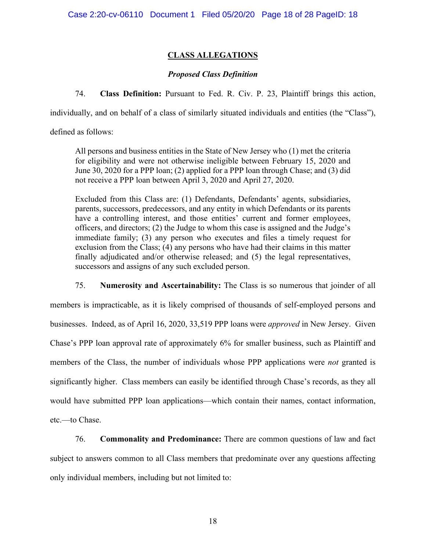# **CLASS ALLEGATIONS**

## *Proposed Class Definition*

74. **Class Definition:** Pursuant to Fed. R. Civ. P. 23, Plaintiff brings this action,

individually, and on behalf of a class of similarly situated individuals and entities (the "Class"),

defined as follows:

All persons and business entities in the State of New Jersey who (1) met the criteria for eligibility and were not otherwise ineligible between February 15, 2020 and June 30, 2020 for a PPP loan; (2) applied for a PPP loan through Chase; and (3) did not receive a PPP loan between April 3, 2020 and April 27, 2020.

Excluded from this Class are: (1) Defendants, Defendants' agents, subsidiaries, parents, successors, predecessors, and any entity in which Defendants or its parents have a controlling interest, and those entities' current and former employees, officers, and directors; (2) the Judge to whom this case is assigned and the Judge's immediate family; (3) any person who executes and files a timely request for exclusion from the Class; (4) any persons who have had their claims in this matter finally adjudicated and/or otherwise released; and (5) the legal representatives, successors and assigns of any such excluded person.

75. **Numerosity and Ascertainability:** The Class is so numerous that joinder of all members is impracticable, as it is likely comprised of thousands of self-employed persons and businesses. Indeed, as of April 16, 2020, 33,519 PPP loans were *approved* in New Jersey. Given Chase's PPP loan approval rate of approximately 6% for smaller business, such as Plaintiff and members of the Class, the number of individuals whose PPP applications were *not* granted is significantly higher. Class members can easily be identified through Chase's records, as they all would have submitted PPP loan applications—which contain their names, contact information, etc.—to Chase.

76. **Commonality and Predominance:** There are common questions of law and fact subject to answers common to all Class members that predominate over any questions affecting only individual members, including but not limited to: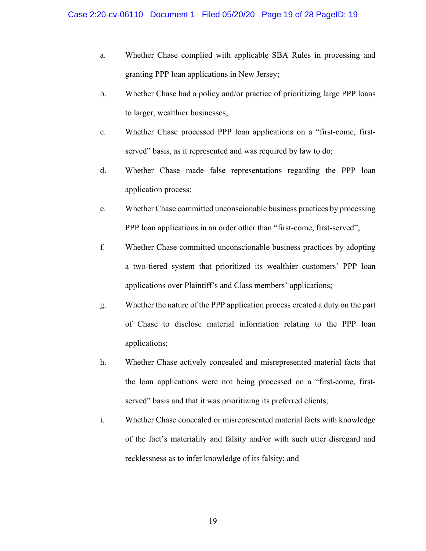- a. Whether Chase complied with applicable SBA Rules in processing and granting PPP loan applications in New Jersey;
- b. Whether Chase had a policy and/or practice of prioritizing large PPP loans to larger, wealthier businesses;
- c. Whether Chase processed PPP loan applications on a "first-come, firstserved" basis, as it represented and was required by law to do;
- d. Whether Chase made false representations regarding the PPP loan application process;
- e. Whether Chase committed unconscionable business practices by processing PPP loan applications in an order other than "first-come, first-served";
- f. Whether Chase committed unconscionable business practices by adopting a two-tiered system that prioritized its wealthier customers' PPP loan applications over Plaintiff's and Class members' applications;
- g. Whether the nature of the PPP application process created a duty on the part of Chase to disclose material information relating to the PPP loan applications;
- h. Whether Chase actively concealed and misrepresented material facts that the loan applications were not being processed on a "first-come, firstserved" basis and that it was prioritizing its preferred clients;
- i. Whether Chase concealed or misrepresented material facts with knowledge of the fact's materiality and falsity and/or with such utter disregard and recklessness as to infer knowledge of its falsity; and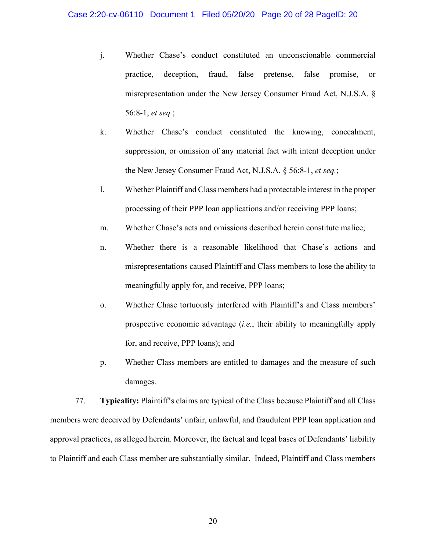- j. Whether Chase's conduct constituted an unconscionable commercial practice, deception, fraud, false pretense, false promise, or misrepresentation under the New Jersey Consumer Fraud Act, N.J.S.A. § 56:8-1, *et seq.*;
- k. Whether Chase's conduct constituted the knowing, concealment, suppression, or omission of any material fact with intent deception under the New Jersey Consumer Fraud Act, N.J.S.A. § 56:8-1, *et seq.*;
- l. Whether Plaintiff and Class members had a protectable interest in the proper processing of their PPP loan applications and/or receiving PPP loans;
- m. Whether Chase's acts and omissions described herein constitute malice;
- n. Whether there is a reasonable likelihood that Chase's actions and misrepresentations caused Plaintiff and Class members to lose the ability to meaningfully apply for, and receive, PPP loans;
- o. Whether Chase tortuously interfered with Plaintiff's and Class members' prospective economic advantage (*i.e.*, their ability to meaningfully apply for, and receive, PPP loans); and
- p. Whether Class members are entitled to damages and the measure of such damages.

77. **Typicality:** Plaintiff's claims are typical of the Class because Plaintiff and all Class members were deceived by Defendants' unfair, unlawful, and fraudulent PPP loan application and approval practices, as alleged herein. Moreover, the factual and legal bases of Defendants' liability to Plaintiff and each Class member are substantially similar. Indeed, Plaintiff and Class members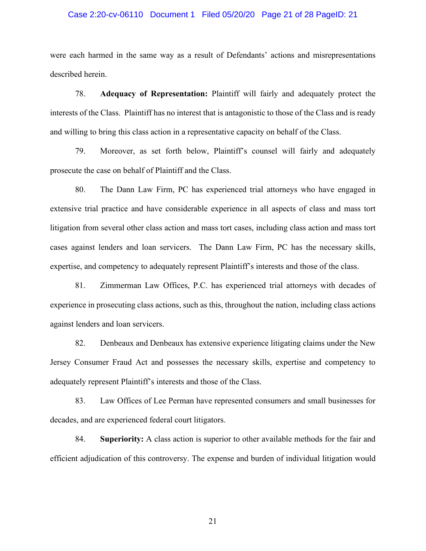#### Case 2:20-cv-06110 Document 1 Filed 05/20/20 Page 21 of 28 PageID: 21

were each harmed in the same way as a result of Defendants' actions and misrepresentations described herein.

78. **Adequacy of Representation:** Plaintiff will fairly and adequately protect the interests of the Class. Plaintiff has no interest that is antagonistic to those of the Class and is ready and willing to bring this class action in a representative capacity on behalf of the Class.

79. Moreover, as set forth below, Plaintiff's counsel will fairly and adequately prosecute the case on behalf of Plaintiff and the Class.

80. The Dann Law Firm, PC has experienced trial attorneys who have engaged in extensive trial practice and have considerable experience in all aspects of class and mass tort litigation from several other class action and mass tort cases, including class action and mass tort cases against lenders and loan servicers. The Dann Law Firm, PC has the necessary skills, expertise, and competency to adequately represent Plaintiff's interests and those of the class.

81. Zimmerman Law Offices, P.C. has experienced trial attorneys with decades of experience in prosecuting class actions, such as this, throughout the nation, including class actions against lenders and loan servicers.

82. Denbeaux and Denbeaux has extensive experience litigating claims under the New Jersey Consumer Fraud Act and possesses the necessary skills, expertise and competency to adequately represent Plaintiff's interests and those of the Class.

83. Law Offices of Lee Perman have represented consumers and small businesses for decades, and are experienced federal court litigators.

84. **Superiority:** A class action is superior to other available methods for the fair and efficient adjudication of this controversy. The expense and burden of individual litigation would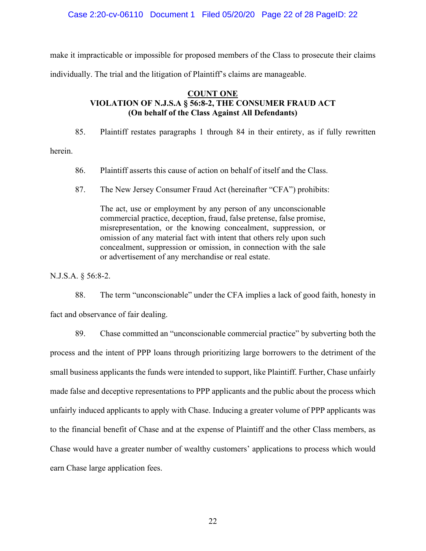Case 2:20-cv-06110 Document 1 Filed 05/20/20 Page 22 of 28 PageID: 22

make it impracticable or impossible for proposed members of the Class to prosecute their claims individually. The trial and the litigation of Plaintiff's claims are manageable.

## **COUNT ONE VIOLATION OF N.J.S.A § 56:8-2, THE CONSUMER FRAUD ACT (On behalf of the Class Against All Defendants)**

85. Plaintiff restates paragraphs 1 through 84 in their entirety, as if fully rewritten

herein.

- 86. Plaintiff asserts this cause of action on behalf of itself and the Class.
- 87. The New Jersey Consumer Fraud Act (hereinafter "CFA") prohibits:

The act, use or employment by any person of any unconscionable commercial practice, deception, fraud, false pretense, false promise, misrepresentation, or the knowing concealment, suppression, or omission of any material fact with intent that others rely upon such concealment, suppression or omission, in connection with the sale or advertisement of any merchandise or real estate.

N.J.S.A. § 56:8-2.

88. The term "unconscionable" under the CFA implies a lack of good faith, honesty in fact and observance of fair dealing.

89. Chase committed an "unconscionable commercial practice" by subverting both the process and the intent of PPP loans through prioritizing large borrowers to the detriment of the small business applicants the funds were intended to support, like Plaintiff. Further, Chase unfairly made false and deceptive representations to PPP applicants and the public about the process which unfairly induced applicants to apply with Chase. Inducing a greater volume of PPP applicants was to the financial benefit of Chase and at the expense of Plaintiff and the other Class members, as Chase would have a greater number of wealthy customers' applications to process which would earn Chase large application fees.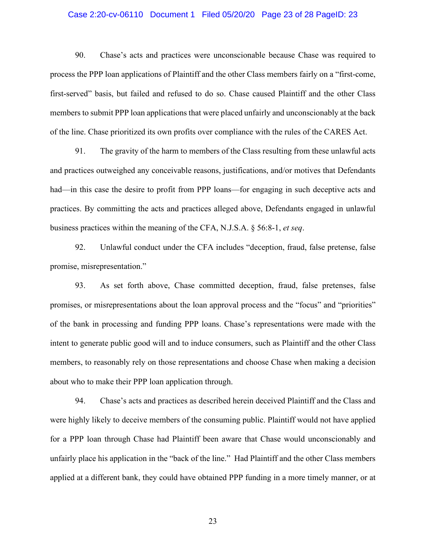#### Case 2:20-cv-06110 Document 1 Filed 05/20/20 Page 23 of 28 PageID: 23

90. Chase's acts and practices were unconscionable because Chase was required to process the PPP loan applications of Plaintiff and the other Class members fairly on a "first-come, first-served" basis, but failed and refused to do so. Chase caused Plaintiff and the other Class members to submit PPP loan applications that were placed unfairly and unconscionably at the back of the line. Chase prioritized its own profits over compliance with the rules of the CARES Act.

91. The gravity of the harm to members of the Class resulting from these unlawful acts and practices outweighed any conceivable reasons, justifications, and/or motives that Defendants had—in this case the desire to profit from PPP loans—for engaging in such deceptive acts and practices. By committing the acts and practices alleged above, Defendants engaged in unlawful business practices within the meaning of the CFA, N.J.S.A. § 56:8-1, *et seq*.

92. Unlawful conduct under the CFA includes "deception, fraud, false pretense, false promise, misrepresentation."

93. As set forth above, Chase committed deception, fraud, false pretenses, false promises, or misrepresentations about the loan approval process and the "focus" and "priorities" of the bank in processing and funding PPP loans. Chase's representations were made with the intent to generate public good will and to induce consumers, such as Plaintiff and the other Class members, to reasonably rely on those representations and choose Chase when making a decision about who to make their PPP loan application through.

94. Chase's acts and practices as described herein deceived Plaintiff and the Class and were highly likely to deceive members of the consuming public. Plaintiff would not have applied for a PPP loan through Chase had Plaintiff been aware that Chase would unconscionably and unfairly place his application in the "back of the line." Had Plaintiff and the other Class members applied at a different bank, they could have obtained PPP funding in a more timely manner, or at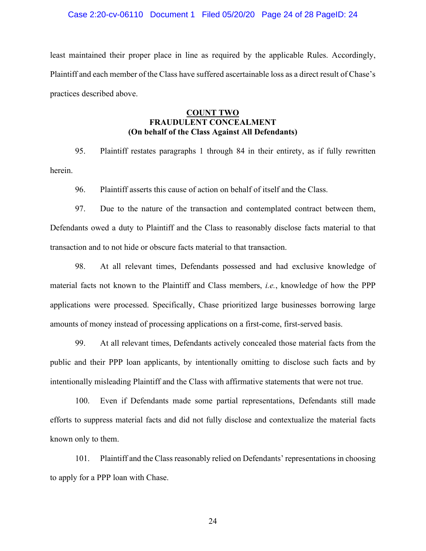#### Case 2:20-cv-06110 Document 1 Filed 05/20/20 Page 24 of 28 PageID: 24

least maintained their proper place in line as required by the applicable Rules. Accordingly, Plaintiff and each member of the Class have suffered ascertainable loss as a direct result of Chase's practices described above.

## **COUNT TWO FRAUDULENT CONCEALMENT (On behalf of the Class Against All Defendants)**

95. Plaintiff restates paragraphs 1 through 84 in their entirety, as if fully rewritten herein.

96. Plaintiff asserts this cause of action on behalf of itself and the Class.

97. Due to the nature of the transaction and contemplated contract between them, Defendants owed a duty to Plaintiff and the Class to reasonably disclose facts material to that transaction and to not hide or obscure facts material to that transaction.

98. At all relevant times, Defendants possessed and had exclusive knowledge of material facts not known to the Plaintiff and Class members, *i.e.*, knowledge of how the PPP applications were processed. Specifically, Chase prioritized large businesses borrowing large amounts of money instead of processing applications on a first-come, first-served basis.

99. At all relevant times, Defendants actively concealed those material facts from the public and their PPP loan applicants, by intentionally omitting to disclose such facts and by intentionally misleading Plaintiff and the Class with affirmative statements that were not true.

100. Even if Defendants made some partial representations, Defendants still made efforts to suppress material facts and did not fully disclose and contextualize the material facts known only to them.

101. Plaintiff and the Class reasonably relied on Defendants' representations in choosing to apply for a PPP loan with Chase.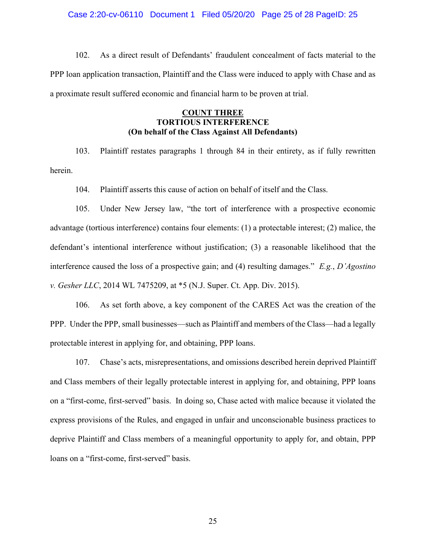#### Case 2:20-cv-06110 Document 1 Filed 05/20/20 Page 25 of 28 PageID: 25

102. As a direct result of Defendants' fraudulent concealment of facts material to the PPP loan application transaction, Plaintiff and the Class were induced to apply with Chase and as a proximate result suffered economic and financial harm to be proven at trial.

### **COUNT THREE TORTIOUS INTERFERENCE (On behalf of the Class Against All Defendants)**

103. Plaintiff restates paragraphs 1 through 84 in their entirety, as if fully rewritten herein.

104. Plaintiff asserts this cause of action on behalf of itself and the Class.

105. Under New Jersey law, "the tort of interference with a prospective economic advantage (tortious interference) contains four elements: (1) a protectable interest; (2) malice, the defendant's intentional interference without justification; (3) a reasonable likelihood that the interference caused the loss of a prospective gain; and (4) resulting damages." *E.g.*, *D'Agostino v. Gesher LLC*, 2014 WL 7475209, at \*5 (N.J. Super. Ct. App. Div. 2015).

106. As set forth above, a key component of the CARES Act was the creation of the PPP. Under the PPP, small businesses—such as Plaintiff and members of the Class—had a legally protectable interest in applying for, and obtaining, PPP loans.

107. Chase's acts, misrepresentations, and omissions described herein deprived Plaintiff and Class members of their legally protectable interest in applying for, and obtaining, PPP loans on a "first-come, first-served" basis. In doing so, Chase acted with malice because it violated the express provisions of the Rules, and engaged in unfair and unconscionable business practices to deprive Plaintiff and Class members of a meaningful opportunity to apply for, and obtain, PPP loans on a "first-come, first-served" basis.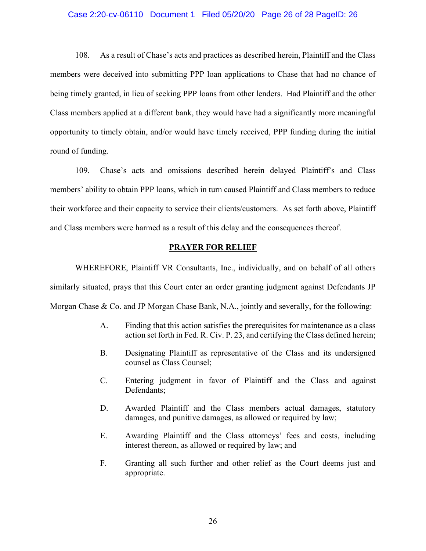#### Case 2:20-cv-06110 Document 1 Filed 05/20/20 Page 26 of 28 PageID: 26

108. As a result of Chase's acts and practices as described herein, Plaintiff and the Class members were deceived into submitting PPP loan applications to Chase that had no chance of being timely granted, in lieu of seeking PPP loans from other lenders. Had Plaintiff and the other Class members applied at a different bank, they would have had a significantly more meaningful opportunity to timely obtain, and/or would have timely received, PPP funding during the initial round of funding.

109. Chase's acts and omissions described herein delayed Plaintiff's and Class members' ability to obtain PPP loans, which in turn caused Plaintiff and Class members to reduce their workforce and their capacity to service their clients/customers. As set forth above, Plaintiff and Class members were harmed as a result of this delay and the consequences thereof.

#### **PRAYER FOR RELIEF**

WHEREFORE, Plaintiff VR Consultants, Inc., individually, and on behalf of all others similarly situated, prays that this Court enter an order granting judgment against Defendants JP Morgan Chase & Co. and JP Morgan Chase Bank, N.A., jointly and severally, for the following:

- A. Finding that this action satisfies the prerequisites for maintenance as a class action set forth in Fed. R. Civ. P. 23, and certifying the Class defined herein;
- B. Designating Plaintiff as representative of the Class and its undersigned counsel as Class Counsel;
- C. Entering judgment in favor of Plaintiff and the Class and against Defendants;
- D. Awarded Plaintiff and the Class members actual damages, statutory damages, and punitive damages, as allowed or required by law;
- E. Awarding Plaintiff and the Class attorneys' fees and costs, including interest thereon, as allowed or required by law; and
- F. Granting all such further and other relief as the Court deems just and appropriate.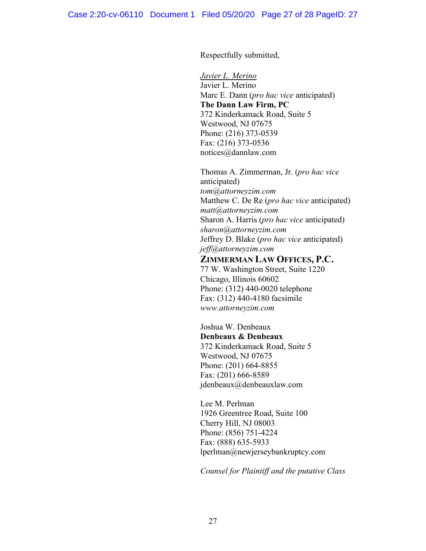Respectfully submitted,

*Javier L. Merino*  Javier L. Merino Marc E. Dann (*pro hac vice* anticipated) **The Dann Law Firm, PC**  372 Kinderkamack Road, Suite 5 Westwood, NJ 07675 Phone: (216) 373-0539 Fax: (216) 373-0536 notices@dannlaw.com

Thomas A. Zimmerman, Jr. (*pro hac vice* anticipated) *tom@attorneyzim.com*  Matthew C. De Re (*pro hac vice* anticipated) *matt@attorneyzim.com*  Sharon A. Harris (*pro hac vice* anticipated) *sharon@attorneyzim.com*  Jeffrey D. Blake (*pro hac vice* anticipated) *jeff@attorneyzim.com* 

# **ZIMMERMAN LAW OFFICES, P.C.**

77 W. Washington Street, Suite 1220 Chicago, Illinois 60602 Phone: (312) 440-0020 telephone Fax: (312) 440-4180 facsimile *www.attorneyzim.com* 

Joshua W. Denbeaux **Denbeaux & Denbeaux** 372 Kinderkamack Road, Suite 5 Westwood, NJ 07675 Phone: (201) 664-8855 Fax: (201) 666-8589 jdenbeaux@denbeauxlaw.com

Lee M. Perlman 1926 Greentree Road, Suite 100 Cherry Hill, NJ 08003 Phone: (856) 751-4224 Fax: (888) 635-5933 lperlman@newjerseybankruptcy.com

*Counsel for Plaintiff and the putative Class*